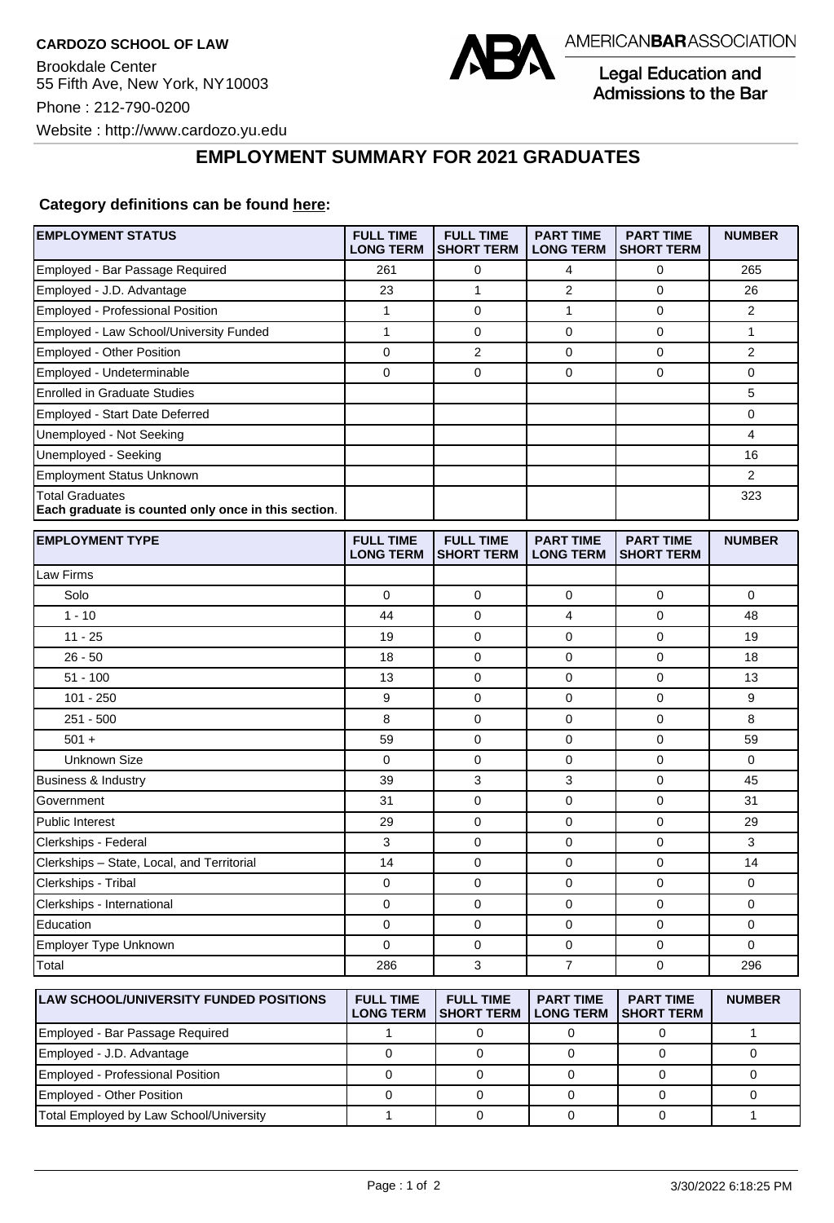

Legal Education and Admissions to the Bar

**EMPLOYMENT SUMMARY FOR 2021 GRADUATES**

## **Category definitions can be found [here:](https://www.americanbar.org/content/dam/aba/administrative/legal_education_and_admissions_to_the_bar/Questionnaires/2021/2022-employment-protocols-for-the-class-of-2021-september-2021.pdf)**

| <b>EMPLOYMENT STATUS</b>                                                      | <b>FULL TIME</b><br><b>LONG TERM</b>  | <b>FULL TIME</b><br><b>SHORT TERM</b> | <b>PART TIME</b><br><b>LONG TERM</b> | <b>PART TIME</b><br><b>SHORT TERM</b> | <b>NUMBER</b>  |
|-------------------------------------------------------------------------------|---------------------------------------|---------------------------------------|--------------------------------------|---------------------------------------|----------------|
| Employed - Bar Passage Required                                               | 261                                   | $\mathbf 0$                           | 4                                    | $\mathbf 0$                           | 265            |
| Employed - J.D. Advantage                                                     | 23                                    | $\mathbf{1}$                          | $\overline{2}$                       | 0                                     | 26             |
| <b>Employed - Professional Position</b>                                       | $\mathbf{1}$                          | $\mathbf 0$                           | 1                                    | $\mathbf 0$                           | $\overline{2}$ |
| Employed - Law School/University Funded                                       | $\mathbf{1}$                          | $\mathbf 0$                           | $\mathbf 0$                          | $\Omega$                              | $\mathbf{1}$   |
| Employed - Other Position                                                     | 0                                     | $\overline{2}$                        | 0                                    | $\mathbf 0$                           | $\overline{2}$ |
| Employed - Undeterminable                                                     | 0                                     | $\mathbf 0$                           | $\mathbf 0$                          | $\mathbf 0$                           | 0              |
| <b>Enrolled in Graduate Studies</b>                                           |                                       |                                       |                                      |                                       | 5              |
| Employed - Start Date Deferred                                                |                                       |                                       |                                      |                                       | 0              |
| Unemployed - Not Seeking                                                      |                                       |                                       |                                      |                                       | 4              |
| Unemployed - Seeking                                                          |                                       |                                       |                                      |                                       | 16             |
| <b>Employment Status Unknown</b>                                              |                                       |                                       |                                      |                                       | 2              |
| <b>Total Graduates</b><br>Each graduate is counted only once in this section. |                                       |                                       |                                      |                                       | 323            |
| <b>EMPLOYMENT TYPE</b>                                                        | <b>FULL TIME</b><br><b>LONG TERM</b>  | <b>FULL TIME</b><br><b>SHORT TERM</b> | <b>PART TIME</b><br><b>LONG TERM</b> | <b>PART TIME</b><br><b>SHORT TERM</b> | <b>NUMBER</b>  |
| Law Firms                                                                     |                                       |                                       |                                      |                                       |                |
| Solo                                                                          | $\mathbf 0$                           | $\mathbf 0$                           | $\mathbf 0$                          | $\mathbf 0$                           | 0              |
| $1 - 10$                                                                      | 44                                    | $\mathbf 0$                           | $\overline{4}$                       | $\mathbf 0$                           | 48             |
| $11 - 25$                                                                     | 19                                    | 0                                     | 0                                    | 0                                     | 19             |
| $26 - 50$                                                                     | 18                                    | $\mathbf 0$                           | $\mathbf 0$                          | $\mathbf 0$                           | 18             |
| $51 - 100$                                                                    | 13                                    | $\mathbf 0$                           | 0                                    | $\mathbf 0$                           | 13             |
| $101 - 250$                                                                   | 9                                     | $\mathbf 0$                           | 0                                    | $\mathbf 0$                           | 9              |
| $251 - 500$                                                                   | 8                                     | $\mathbf 0$                           | 0                                    | $\mathbf 0$                           | 8              |
| $501 +$                                                                       | 59                                    | $\mathbf 0$                           | $\mathbf 0$                          | $\mathbf 0$                           | 59             |
| <b>Unknown Size</b>                                                           | 0                                     | 0                                     | 0                                    | 0                                     | 0              |
| <b>Business &amp; Industry</b>                                                | 39                                    | 3                                     | 3                                    | $\mathbf 0$                           | 45             |
| Government                                                                    | 31                                    | $\mathbf 0$                           | $\mathbf 0$                          | $\mathbf 0$                           | 31             |
| <b>Public Interest</b>                                                        | 29                                    | $\mathbf 0$                           | 0                                    | $\mathbf 0$                           | 29             |
| Clerkships - Federal                                                          | 3                                     | $\mathbf 0$                           | $\mathbf 0$                          | $\mathbf 0$                           | 3              |
| Clerkships - State, Local, and Territorial                                    | 14                                    | $\mathbf 0$                           | $\mathbf 0$                          | $\mathbf 0$                           | 14             |
| Clerkships - Tribal                                                           | 0                                     | $\mathbf 0$                           | 0                                    | $\mathbf 0$                           | 0              |
| Clerkships - International                                                    | 0                                     | $\mathbf 0$                           | 0                                    | $\mathbf 0$                           | 0              |
| Education                                                                     | 0                                     | $\mathbf 0$                           | $\mathbf 0$                          | $\mathbf 0$                           | 0              |
| Employer Type Unknown                                                         | 0                                     | 0                                     | 0                                    | 0                                     | 0              |
| Total                                                                         | 286                                   | 3                                     | $\overline{7}$                       | $\mathbf 0$                           | 296            |
| <b>LAW SCHOOL/UNIVERSITY FUNDED POSITIONS</b>                                 | <b>FULL TIME</b><br><b>I ONG TEDM</b> | <b>FULL TIME</b><br><b>SHOPT TEPM</b> | <b>PART TIME</b><br><b>LONG TEPM</b> | <b>PART TIME</b><br><b>SHOPT TEPM</b> | <b>NUMBER</b>  |

| <b>ILAW SCHOOL/UNIVERSITY FUNDED POSITIONS</b> | <b>FULL TIME</b> | FULL IIME<br><b>LONG TERM ISHORT TERM</b> | <b>PARI IME</b><br><b>LONG TERM</b> | <b>PARI IME</b><br><b>ISHORT TERM</b> | <b>NUMBER</b> |
|------------------------------------------------|------------------|-------------------------------------------|-------------------------------------|---------------------------------------|---------------|
| Employed - Bar Passage Required                |                  |                                           |                                     |                                       |               |
| Employed - J.D. Advantage                      |                  |                                           |                                     |                                       |               |
| Employed - Professional Position               |                  |                                           |                                     |                                       |               |
| <b>Employed - Other Position</b>               |                  |                                           |                                     |                                       |               |
| Total Employed by Law School/University        |                  |                                           |                                     |                                       |               |